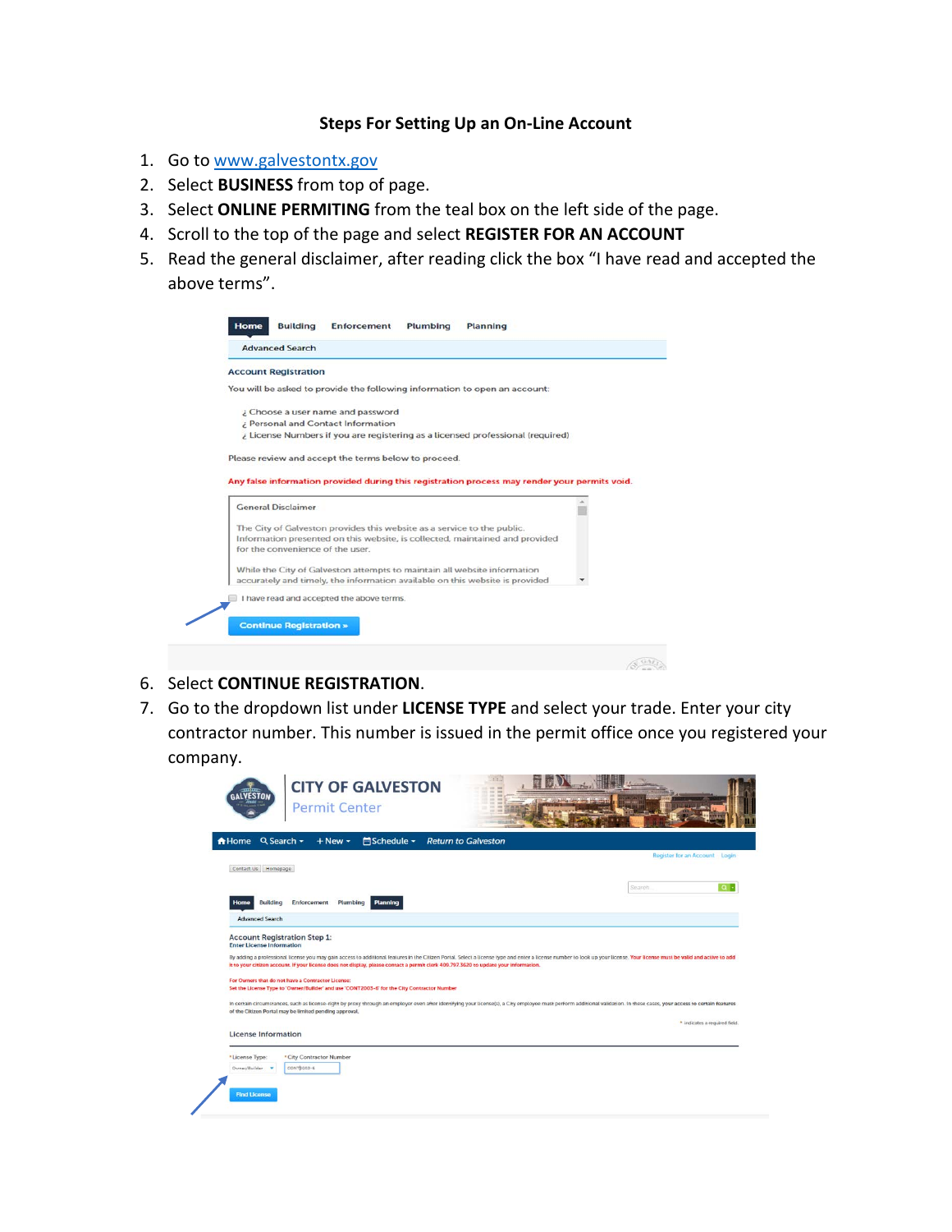### **Steps For Setting Up an On-Line Account**

- 1. Go t[o www.galvestontx.gov](http://www.galvestontx.gov/)
- 2. Select **BUSINESS** from top of page.
- 3. Select **ONLINE PERMITING** from the teal box on the left side of the page.
- 4. Scroll to the top of the page and select **REGISTER FOR AN ACCOUNT**
- 5. Read the general disclaimer, after reading click the box "I have read and accepted the above terms".

| <b>Account Registration</b>                          |                                                                                                                                                          |  |
|------------------------------------------------------|----------------------------------------------------------------------------------------------------------------------------------------------------------|--|
|                                                      | You will be asked to provide the following information to open an account:                                                                               |  |
| ¿ Choose a user name and password                    |                                                                                                                                                          |  |
| ¿ Personal and Contact Information                   |                                                                                                                                                          |  |
|                                                      | ¿ License Numbers if you are registering as a licensed professional (required)                                                                           |  |
| Please review and accept the terms below to proceed. |                                                                                                                                                          |  |
|                                                      | Any false information provided during this registration process may render your permits void.                                                            |  |
|                                                      |                                                                                                                                                          |  |
|                                                      |                                                                                                                                                          |  |
| <b>General Disclaimer</b>                            |                                                                                                                                                          |  |
|                                                      | The City of Galveston provides this website as a service to the public.                                                                                  |  |
|                                                      | Information presented on this website, is collected, maintained and provided                                                                             |  |
| for the convenience of the user.                     |                                                                                                                                                          |  |
|                                                      |                                                                                                                                                          |  |
|                                                      | While the City of Galveston attempts to maintain all website information<br>accurately and timely, the information available on this website is provided |  |
| I have read and accepted the above terms.            |                                                                                                                                                          |  |

- 6. Select **CONTINUE REGISTRATION**.
- 7. Go to the dropdown list under **LICENSE TYPE** and select your trade. Enter your city contractor number. This number is issued in the permit office once you registered your company.

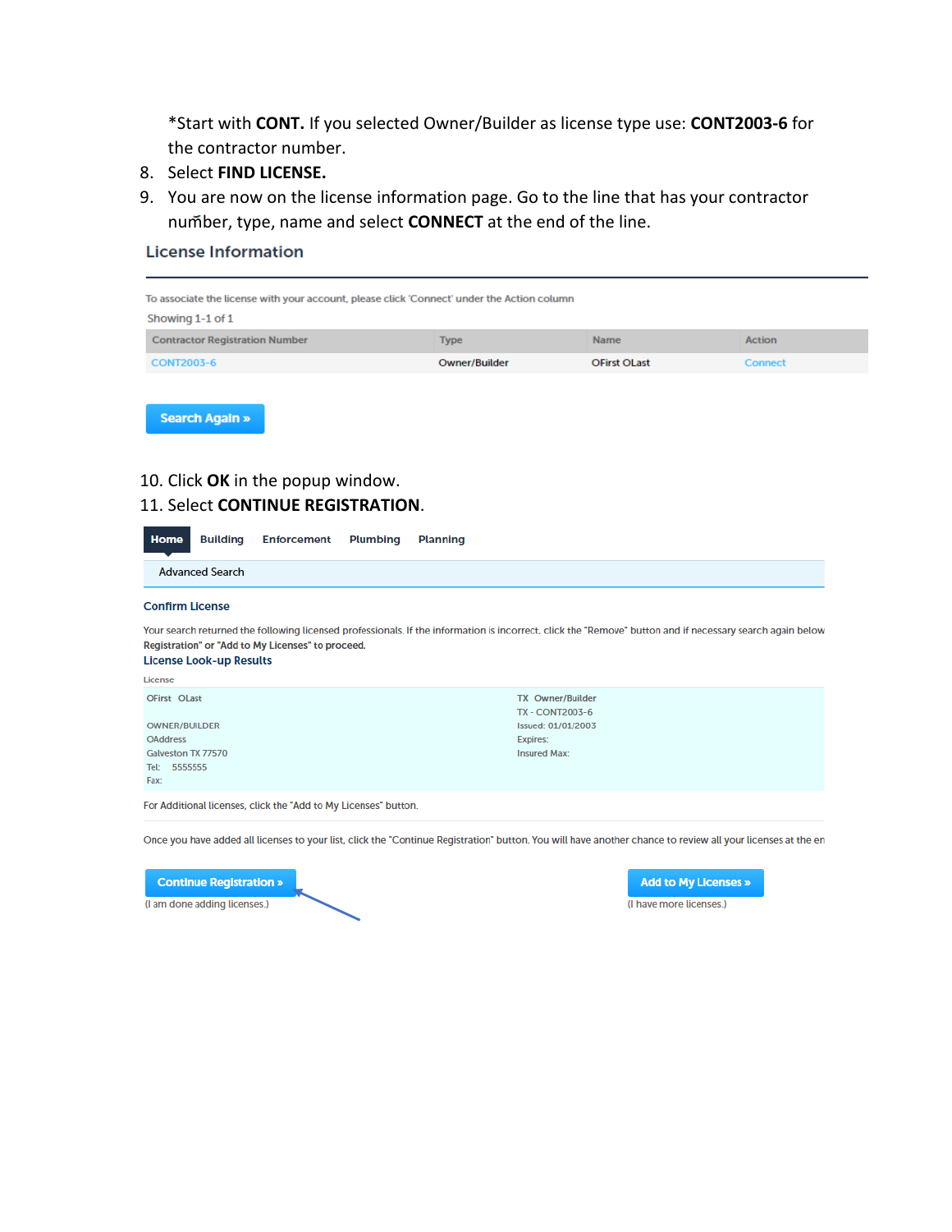\*Start with **CONT.** If you selected Owner/Builder as license type use: **CONT2003-6** for the contractor number.

- 8. Select **FIND LICENSE.**
- 9. You are now on the license information page. Go to the line that has your contractor number, type, name and select **CONNECT** at the end of the line.

### **License Information**

| To associate the license with your account, please click 'Connect' under the Action column |               |                     |               |
|--------------------------------------------------------------------------------------------|---------------|---------------------|---------------|
| Showing 1-1 of 1                                                                           |               |                     |               |
| <b>Contractor Registration Number</b>                                                      | <b>Type</b>   | <b>Name</b>         | <b>Action</b> |
| <b>CONT2003-6</b>                                                                          | Owner/Builder | <b>OFirst OLast</b> | Connect       |
|                                                                                            |               |                     |               |
| <b>Search Again »</b>                                                                      |               |                     |               |

# 10. Click **OK** in the popup window.

### 11. Select **CONTINUE REGISTRATION**.

| Home                                                                                                  | <b>Building</b>                | <b>Enforcement</b>                                              | <b>Plumbing</b> | <b>Planning</b>                                                                                                                                             |
|-------------------------------------------------------------------------------------------------------|--------------------------------|-----------------------------------------------------------------|-----------------|-------------------------------------------------------------------------------------------------------------------------------------------------------------|
|                                                                                                       | <b>Advanced Search</b>         |                                                                 |                 |                                                                                                                                                             |
| <b>Confirm License</b>                                                                                |                                |                                                                 |                 |                                                                                                                                                             |
|                                                                                                       | <b>License Look-up Results</b> | Registration" or "Add to My Licenses" to proceed.               |                 | Your search returned the following licensed professionals. If the information is incorrect, click the "Remove" button and if necessary search again below   |
| License                                                                                               |                                |                                                                 |                 |                                                                                                                                                             |
| OFirst Olast<br><b>OWNER/BUILDER</b><br><b>OAddress</b><br>Galveston TX 77570<br>Tel: 5555555<br>Fax: |                                |                                                                 |                 | <b>TX Owner/Builder</b><br><b>TX - CONT2003-6</b><br>Issued: 01/01/2003<br><b>Expires:</b><br><b>Insured Max:</b>                                           |
|                                                                                                       |                                | For Additional licenses, click the "Add to My Licenses" button. |                 |                                                                                                                                                             |
|                                                                                                       |                                |                                                                 |                 | Once you have added all licenses to your list, click the "Continue Registration" button. You will have another chance to review all your licenses at the en |

**Continue Registration »** (I am done adding licenses.)

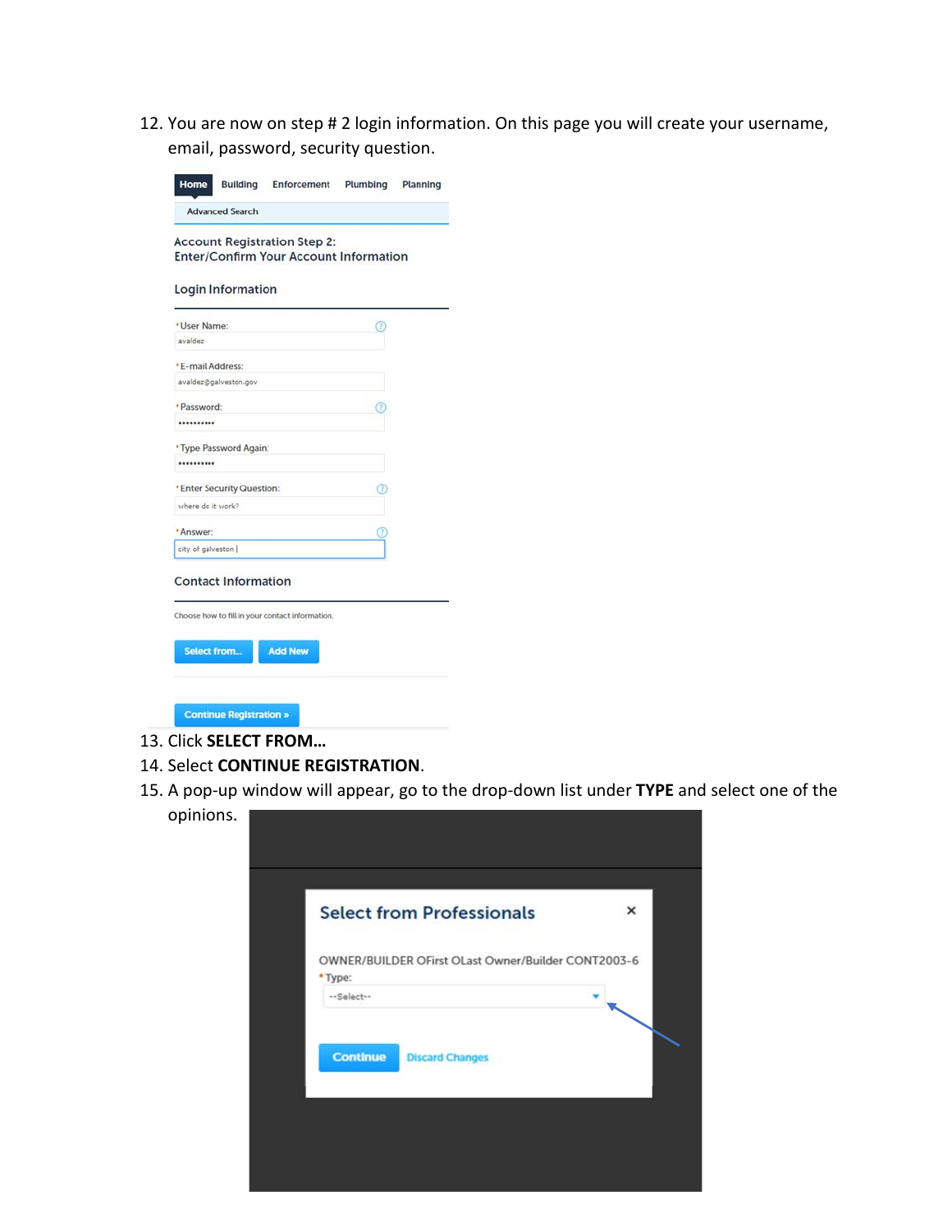12. You are now on step # 2 login information. On this page you will create your username, email, password, security question.

| * User Name:<br>avaidez<br>avaldez@galveston.gov<br>                          | Œ<br>7 |
|-------------------------------------------------------------------------------|--------|
| * E-mail Address:<br>· Password:<br>* Type Password Again:                    |        |
|                                                                               |        |
|                                                                               |        |
|                                                                               |        |
|                                                                               |        |
|                                                                               |        |
|                                                                               |        |
|                                                                               |        |
| * Enter Security Question:                                                    | Œ      |
| where do it work?                                                             |        |
| * Answer:                                                                     |        |
| city of galveston                                                             |        |
| <b>Contact Information</b><br>Choose how to fill in your contact information. |        |

- 13. Click **SELECT FROM…**
- 14. Select **CONTINUE REGISTRATION**.
- 15. A pop-up window will appear, go to the drop-down list under **TYPE** and select one of the opinions.

| <b>Select from Professionals</b><br>$\times$<br>OWNER/BUILDER OFirst OLast Owner/Builder CONT2003-6<br>*Type:<br>--Select--<br><b>Continue</b><br><b>Discard Changes</b> |  |
|--------------------------------------------------------------------------------------------------------------------------------------------------------------------------|--|
|                                                                                                                                                                          |  |
|                                                                                                                                                                          |  |
|                                                                                                                                                                          |  |
|                                                                                                                                                                          |  |
|                                                                                                                                                                          |  |
|                                                                                                                                                                          |  |
|                                                                                                                                                                          |  |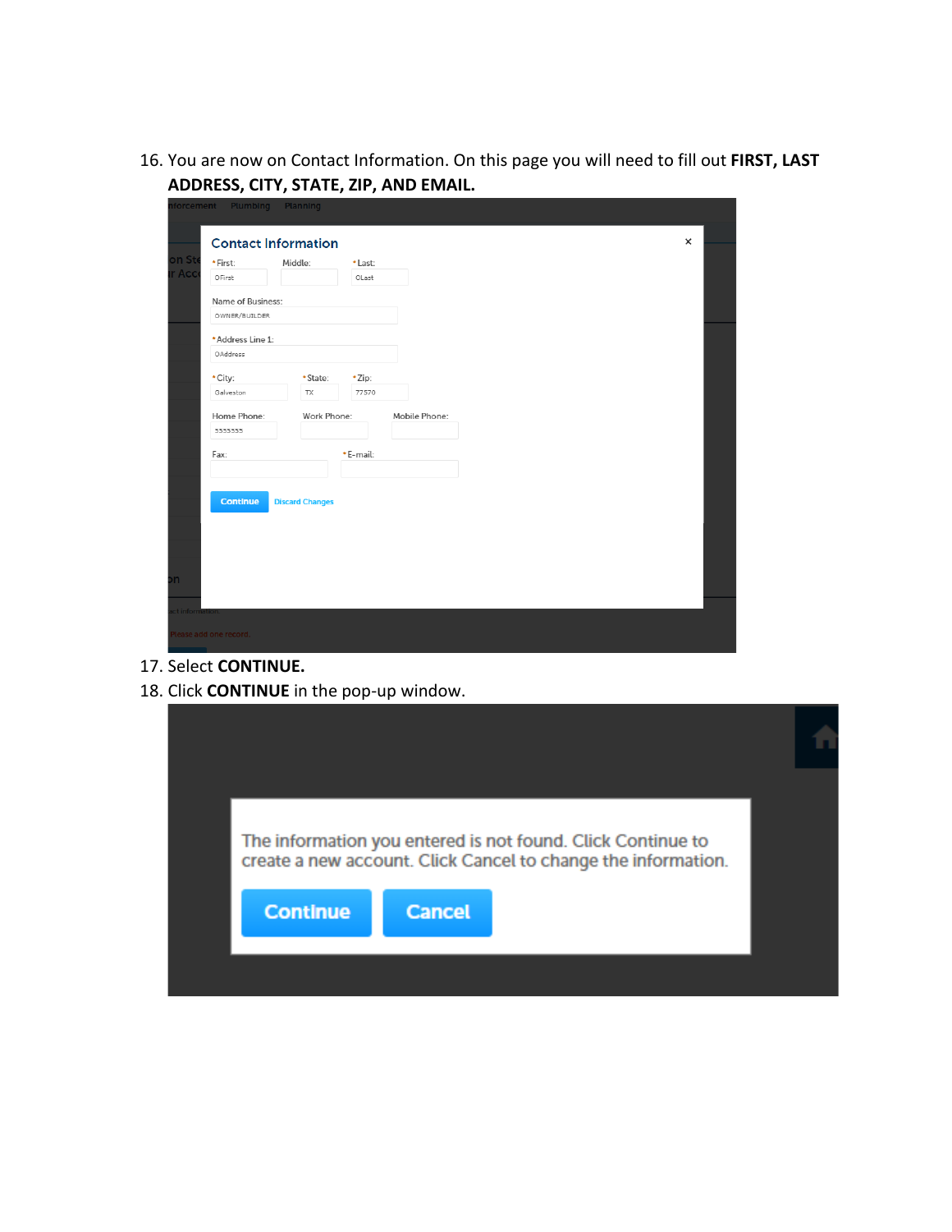16. You are now on Contact Information. On this page you will need to fill out **FIRST, LAST ADDRESS, CITY, STATE, ZIP, AND EMAIL.** 

|                  | nforcement Plumbing        | Planning               |          |               |  |                |
|------------------|----------------------------|------------------------|----------|---------------|--|----------------|
|                  | <b>Contact Information</b> |                        |          |               |  | $\pmb{\times}$ |
| on St            |                            |                        |          |               |  |                |
| ir Acc           | *First:                    | Middle:                | * Last:  |               |  |                |
|                  | OFirst                     |                        | OLast    |               |  |                |
|                  | Name of Business:          |                        |          |               |  |                |
|                  | OWNER/BUILDER              |                        |          |               |  |                |
|                  | *Address Line 1:           |                        |          |               |  |                |
|                  | OAddress                   |                        |          |               |  |                |
|                  | * City:                    | *State:                | *Zip:    |               |  |                |
|                  | Galveston                  | TX                     | 77570    |               |  |                |
|                  | Home Phone:                | Work Phone:            |          | Mobile Phone: |  |                |
|                  | 5555555                    |                        |          |               |  |                |
|                  |                            |                        |          |               |  |                |
|                  | Fax:                       |                        | *E-mail: |               |  |                |
|                  |                            |                        |          |               |  |                |
|                  |                            |                        |          |               |  |                |
|                  | <b>Continue</b>            | <b>Discard Changes</b> |          |               |  |                |
|                  |                            |                        |          |               |  |                |
|                  |                            |                        |          |               |  |                |
|                  |                            |                        |          |               |  |                |
|                  |                            |                        |          |               |  |                |
| bh               |                            |                        |          |               |  |                |
|                  |                            |                        |          |               |  |                |
| act information. |                            |                        |          |               |  |                |
|                  | Please add one record.     |                        |          |               |  |                |
|                  |                            |                        |          |               |  |                |

- 17. Select **CONTINUE.**
- 18. Click **CONTINUE** in the pop-up window.

|                 |               | The information you entered is not found. Click Continue to<br>create a new account. Click Cancel to change the information. |  |
|-----------------|---------------|------------------------------------------------------------------------------------------------------------------------------|--|
| <b>Continue</b> | <b>Cancel</b> |                                                                                                                              |  |
|                 |               |                                                                                                                              |  |